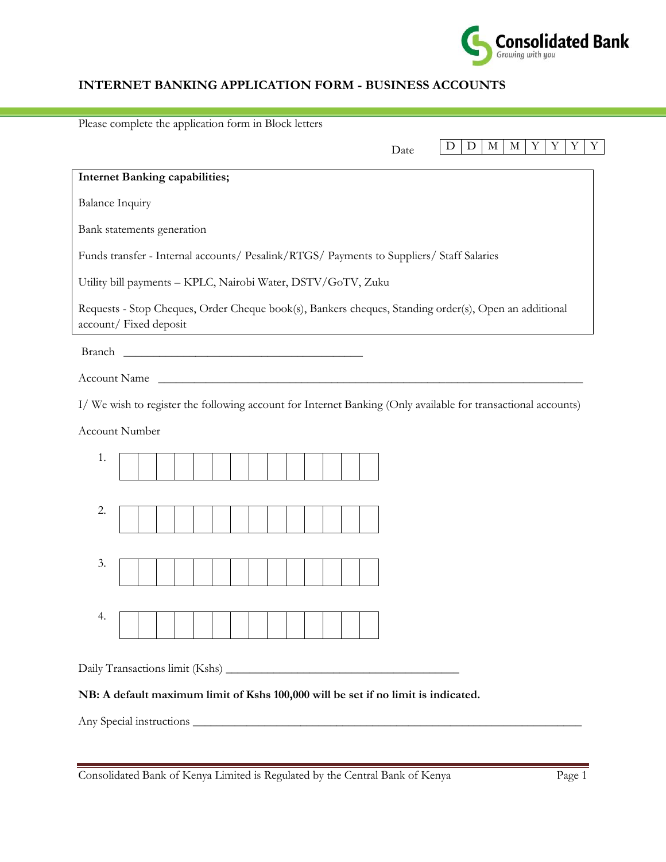

## **INTERNET BANKING APPLICATION FORM - BUSINESS ACCOUNTS**

| Please complete the application form in Block letters                                                                           |  |  |  |  |
|---------------------------------------------------------------------------------------------------------------------------------|--|--|--|--|
| Y<br>$\mathbf D$<br>D<br>$\mathbf M$<br>М<br>Y<br>Y<br>Y<br>Date                                                                |  |  |  |  |
| <b>Internet Banking capabilities;</b>                                                                                           |  |  |  |  |
| <b>Balance Inquiry</b>                                                                                                          |  |  |  |  |
| Bank statements generation                                                                                                      |  |  |  |  |
| Funds transfer - Internal accounts/ Pesalink/RTGS/ Payments to Suppliers/ Staff Salaries                                        |  |  |  |  |
| Utility bill payments - KPLC, Nairobi Water, DSTV/GoTV, Zuku                                                                    |  |  |  |  |
| Requests - Stop Cheques, Order Cheque book(s), Bankers cheques, Standing order(s), Open an additional<br>account/ Fixed deposit |  |  |  |  |
| Branch                                                                                                                          |  |  |  |  |
| Account Name                                                                                                                    |  |  |  |  |
| I/ We wish to register the following account for Internet Banking (Only available for transactional accounts)                   |  |  |  |  |
| Account Number                                                                                                                  |  |  |  |  |
| 1.                                                                                                                              |  |  |  |  |
|                                                                                                                                 |  |  |  |  |
| 2.                                                                                                                              |  |  |  |  |
|                                                                                                                                 |  |  |  |  |
| 3.                                                                                                                              |  |  |  |  |
|                                                                                                                                 |  |  |  |  |
| 4.                                                                                                                              |  |  |  |  |
|                                                                                                                                 |  |  |  |  |
|                                                                                                                                 |  |  |  |  |
| NB: A default maximum limit of Kshs 100,000 will be set if no limit is indicated.                                               |  |  |  |  |
|                                                                                                                                 |  |  |  |  |

Consolidated Bank of Kenya Limited is Regulated by the Central Bank of Kenya Page 1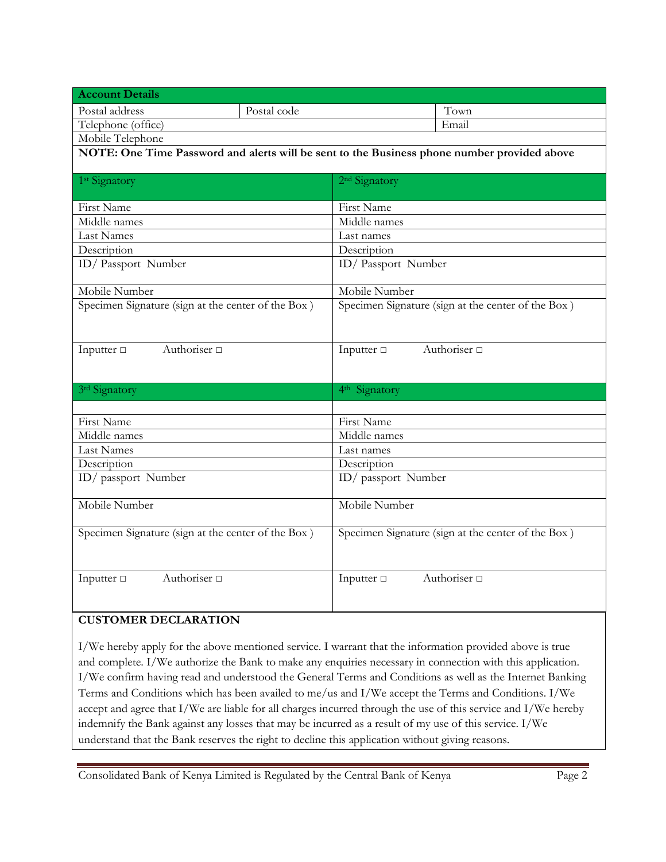| <b>Account Details</b>                                                                      |             |                                                    |                   |  |
|---------------------------------------------------------------------------------------------|-------------|----------------------------------------------------|-------------------|--|
| Postal address                                                                              | Postal code |                                                    | Town              |  |
| Telephone (office)                                                                          |             |                                                    | Email             |  |
| Mobile Telephone                                                                            |             |                                                    |                   |  |
| NOTE: One Time Password and alerts will be sent to the Business phone number provided above |             |                                                    |                   |  |
| 1 <sup>st</sup> Signatory                                                                   |             | 2 <sup>nd</sup> Signatory                          |                   |  |
|                                                                                             |             |                                                    |                   |  |
| First Name                                                                                  |             | First Name                                         |                   |  |
| Middle names                                                                                |             | Middle names                                       |                   |  |
| <b>Last Names</b>                                                                           |             | Last names                                         |                   |  |
| Description                                                                                 |             | Description                                        |                   |  |
| ID/Passport Number                                                                          |             | ID/Passport Number                                 |                   |  |
| Mobile Number                                                                               |             | Mobile Number                                      |                   |  |
| Specimen Signature (sign at the center of the Box)                                          |             | Specimen Signature (sign at the center of the Box) |                   |  |
|                                                                                             |             |                                                    |                   |  |
| Authoriser <sup>[1]</sup><br>Inputter $\Box$                                                |             | Inputter $\Box$<br>Authoriser <sup>[1]</sup>       |                   |  |
|                                                                                             |             |                                                    |                   |  |
| 3rd Signatory                                                                               |             | 4 <sup>th</sup> Signatory                          |                   |  |
|                                                                                             |             |                                                    |                   |  |
| <b>First Name</b>                                                                           |             | First Name                                         |                   |  |
| Middle names                                                                                |             | Middle names                                       |                   |  |
| Last Names                                                                                  |             | Last names                                         |                   |  |
| Description                                                                                 |             | Description                                        |                   |  |
| ID/ passport Number                                                                         |             | ID/ passport Number                                |                   |  |
| Mobile Number                                                                               |             | Mobile Number                                      |                   |  |
| Specimen Signature (sign at the center of the Box)                                          |             | Specimen Signature (sign at the center of the Box) |                   |  |
| Authoriser <sup>[1]</sup><br>Inputter $\Box$                                                |             | Inputter $\Box$                                    | Authoriser $\Box$ |  |

## **CUSTOMER DECLARATION**

I/We hereby apply for the above mentioned service. I warrant that the information provided above is true and complete. I/We authorize the Bank to make any enquiries necessary in connection with this application. I/We confirm having read and understood the General Terms and Conditions as well as the Internet Banking Terms and Conditions which has been availed to me/us and I/We accept the Terms and Conditions. I/We accept and agree that I/We are liable for all charges incurred through the use of this service and I/We hereby indemnify the Bank against any losses that may be incurred as a result of my use of this service. I/We understand that the Bank reserves the right to decline this application without giving reasons.